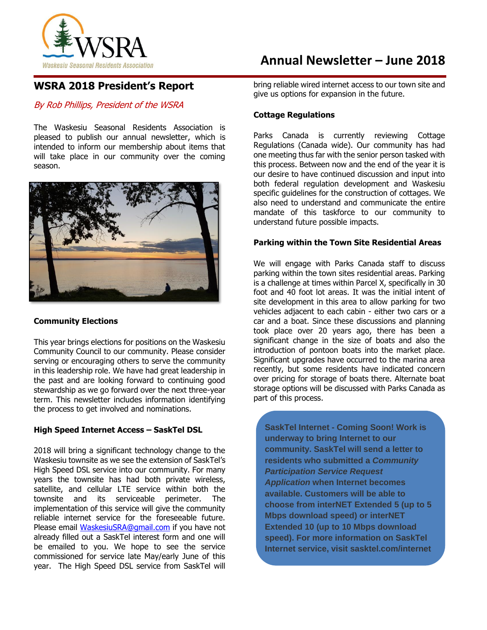

# **WSRA 2018 President's Report**

### By Rob Phillips, President of the WSRA

The Waskesiu Seasonal Residents Association is pleased to publish our annual newsletter, which is intended to inform our membership about items that will take place in our community over the coming season.



### **Community Elections**

This year brings elections for positions on the Waskesiu Community Council to our community. Please consider serving or encouraging others to serve the community in this leadership role. We have had great leadership in the past and are looking forward to continuing good stewardship as we go forward over the next three-year term. This newsletter includes information identifying the process to get involved and nominations.

### **High Speed Internet Access – SaskTel DSL**

2018 will bring a significant technology change to the Waskesiu townsite as we see the extension of SaskTel's High Speed DSL service into our community. For many years the townsite has had both private wireless, satellite, and cellular LTE service within both the townsite and its serviceable perimeter. The implementation of this service will give the community reliable internet service for the foreseeable future. Please email [WaskesiuSRA@gmail.com](mailto:WaskesiuSRA@gmail.com) if you have not already filled out a SaskTel interest form and one will be emailed to you. We hope to see the service commissioned for service late May/early June of this year. The High Speed DSL service from SaskTel will

# **Annual Newsletter – June 2018**

bring reliable wired internet access to our town site and give us options for expansion in the future.

### **Cottage Regulations**

Parks Canada is currently reviewing Cottage Regulations (Canada wide). Our community has had one meeting thus far with the senior person tasked with this process. Between now and the end of the year it is our desire to have continued discussion and input into both federal regulation development and Waskesiu specific guidelines for the construction of cottages. We also need to understand and communicate the entire mandate of this taskforce to our community to understand future possible impacts.

#### **Parking within the Town Site Residential Areas**

We will engage with Parks Canada staff to discuss parking within the town sites residential areas. Parking is a challenge at times within Parcel X, specifically in 30 foot and 40 foot lot areas. It was the initial intent of site development in this area to allow parking for two vehicles adjacent to each cabin - either two cars or a car and a boat. Since these discussions and planning took place over 20 years ago, there has been a significant change in the size of boats and also the introduction of pontoon boats into the market place. Significant upgrades have occurred to the marina area recently, but some residents have indicated concern over pricing for storage of boats there. Alternate boat storage options will be discussed with Parks Canada as part of this process.

**SaskTel Internet - Coming Soon! Work is underway to bring Internet to our community. SaskTel will send a letter to residents who submitted a** *Community Participation Service Request Application* **when Internet becomes available. Customers will be able to choose from interNET Extended 5 (up to 5 Mbps download speed) or interNET Extended 10 (up to 10 Mbps download speed). For more information on SaskTel Internet service, visit sasktel.com/internet**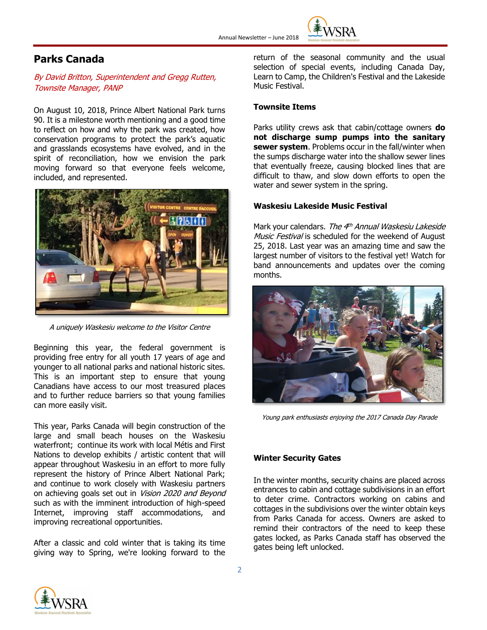

# **Parks Canada**

By David Britton, Superintendent and Gregg Rutten, Townsite Manager, PANP

On August 10, 2018, Prince Albert National Park turns 90. It is a milestone worth mentioning and a good time to reflect on how and why the park was created, how conservation programs to protect the park's aquatic and grasslands ecosystems have evolved, and in the spirit of reconciliation, how we envision the park moving forward so that everyone feels welcome, included, and represented.



A uniquely Waskesiu welcome to the Visitor Centre

Beginning this year, the federal government is providing free entry for all youth 17 years of age and younger to all national parks and national historic sites. This is an important step to ensure that young Canadians have access to our most treasured places and to further reduce barriers so that young families can more easily visit.

This year, Parks Canada will begin construction of the large and small beach houses on the Waskesiu waterfront; continue its work with local Métis and First Nations to develop exhibits / artistic content that will appear throughout Waskesiu in an effort to more fully represent the history of Prince Albert National Park; and continue to work closely with Waskesiu partners on achieving goals set out in Vision 2020 and Beyond such as with the imminent introduction of high-speed Internet, improving staff accommodations, and improving recreational opportunities.

After a classic and cold winter that is taking its time giving way to Spring, we're looking forward to the return of the seasonal community and the usual selection of special events, including Canada Day, Learn to Camp, the Children's Festival and the Lakeside Music Festival.

#### **Townsite Items**

Parks utility crews ask that cabin/cottage owners **do not discharge sump pumps into the sanitary sewer system**. Problems occur in the fall/winter when the sumps discharge water into the shallow sewer lines that eventually freeze, causing blocked lines that are difficult to thaw, and slow down efforts to open the water and sewer system in the spring.

#### **Waskesiu Lakeside Music Festival**

Mark your calendars. *The 4<sup>th</sup> Annual Waskesiu Lakeside* Music Festival is scheduled for the weekend of August 25, 2018. Last year was an amazing time and saw the largest number of visitors to the festival yet! Watch for band announcements and updates over the coming months.



Young park enthusiasts enjoying the 2017 Canada Day Parade

#### **Winter Security Gates**

In the winter months, security chains are placed across entrances to cabin and cottage subdivisions in an effort to deter crime. Contractors working on cabins and cottages in the subdivisions over the winter obtain keys from Parks Canada for access. Owners are asked to remind their contractors of the need to keep these gates locked, as Parks Canada staff has observed the gates being left unlocked.

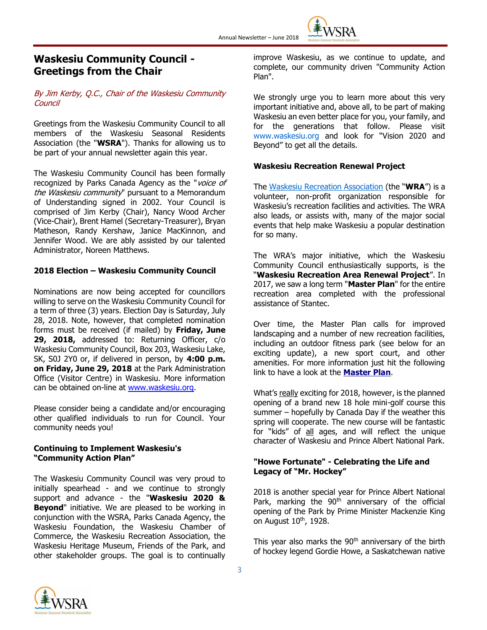

### **Waskesiu Community Council - Greetings from the Chair**

### By Jim Kerby, Q.C., Chair of the Waskesiu Community Council

Greetings from the Waskesiu Community Council to all members of the Waskesiu Seasonal Residents Association (the "**WSRA**"). Thanks for allowing us to be part of your annual newsletter again this year.

The Waskesiu Community Council has been formally recognized by Parks Canada Agency as the "voice of the Waskesiu community" pursuant to a Memorandum of Understanding signed in 2002. Your Council is comprised of Jim Kerby (Chair), Nancy Wood Archer (Vice-Chair), Brent Hamel (Secretary-Treasurer), Bryan Matheson, Randy Kershaw, Janice MacKinnon, and Jennifer Wood. We are ably assisted by our talented Administrator, Noreen Matthews.

### **2018 Election – Waskesiu Community Council**

Nominations are now being accepted for councillors willing to serve on the Waskesiu Community Council for a term of three (3) years. Election Day is Saturday, July 28, 2018. Note, however, that completed nomination forms must be received (if mailed) by **Friday, June 29, 2018,** addressed to: Returning Officer, c/o Waskesiu Community Council, Box 203, Waskesiu Lake, SK, S0J 2Y0 or, if delivered in person, by **4:00 p.m. on Friday, June 29, 2018** at the Park Administration Office (Visitor Centre) in Waskesiu. More information can be obtained on-line at [www.waskesiu.org.](http://www.waskesiu.org/)

Please consider being a candidate and/or encouraging other qualified individuals to run for Council. Your community needs you!

#### **Continuing to Implement Waskesiu's "Community Action Plan"**

The Waskesiu Community Council was very proud to initially spearhead - and we continue to strongly support and advance - the "**Waskesiu 2020 & Beyond**" initiative. We are pleased to be working in conjunction with the WSRA, Parks Canada Agency, the Waskesiu Foundation, the Waskesiu Chamber of Commerce, the Waskesiu Recreation Association, the Waskesiu Heritage Museum, Friends of the Park, and other stakeholder groups. The goal is to continually improve Waskesiu, as we continue to update, and complete, our community driven "Community Action Plan".

We strongly urge you to learn more about this very important initiative and, above all, to be part of making Waskesiu an even better place for you, your family, and for the generations that follow. Please visit [www.waskesiu.org](http://www.waskesiu.org/) and look for "Vision 2020 and Beyond" to get all the details.

### **Waskesiu Recreation Renewal Project**

The [Waskesiu Recreation Association](http://www.waskesiufoundation.ca/community-partners.html) (the "**WRA**") is a volunteer, non-profit organization responsible for Waskesiu's recreation facilities and activities. The WRA also leads, or assists with, many of the major social events that help make Waskesiu a popular destination for so many.

The WRA's major initiative, which the Waskesiu Community Council enthusiastically supports, is the "**Waskesiu Recreation Area Renewal Project**". In 2017, we saw a long term "**Master Plan**" for the entire recreation area completed with the professional assistance of Stantec.

Over time, the Master Plan calls for improved landscaping and a number of new recreation facilities, including an outdoor fitness park (see below for an exciting update), a new sport court, and other amenities. For more information just hit the following link to have a look at the **[Master Plan](http://nebula.wsimg.com/c76c496172fa684f5345303aa2de6550?AccessKeyId=CB5D4F04F3167BFC4A8D&disposition=0&alloworigin=1)**.

What's really exciting for 2018, however, is the planned opening of a brand new 18 hole mini-golf course this summer – hopefully by Canada Day if the weather this spring will cooperate. The new course will be fantastic for "kids" of all ages, and will reflect the unique character of Waskesiu and Prince Albert National Park.

#### **"Howe Fortunate" - Celebrating the Life and Legacy of "Mr. Hockey"**

2018 is another special year for Prince Albert National Park, marking the 90<sup>th</sup> anniversary of the official opening of the Park by Prime Minister Mackenzie King on August 10<sup>th</sup>, 1928.

This year also marks the  $90<sup>th</sup>$  anniversary of the birth of hockey legend Gordie Howe, a Saskatchewan native

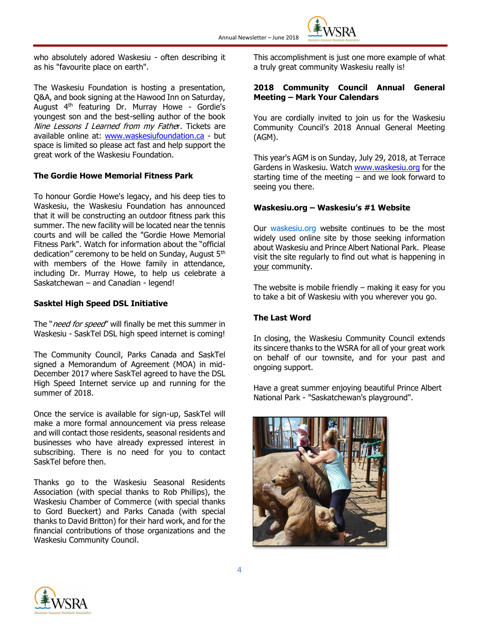

who absolutely adored Waskesiu - often describing it as his "favourite place on earth".

The Waskesiu Foundation is hosting a presentation, Q&A, and book signing at the Hawood Inn on Saturday, August 4<sup>th</sup> featuring Dr. Murray Howe - Gordie's youngest son and the best-selling author of the book Nine Lessons I Learned from my Father. Tickets are available online at: [www.waskesiufoundation.ca](http://www.waskesiufoundation.ca/) - but space is limited so please act fast and help support the great work of the Waskesiu Foundation.

#### **The Gordie Howe Memorial Fitness Park**

To honour Gordie Howe's legacy, and his deep ties to Waskesiu, the Waskesiu Foundation has announced that it will be constructing an outdoor fitness park this summer. The new facility will be located near the tennis courts and will be called the "Gordie Howe Memorial Fitness Park". Watch for information about the "official dedication" ceremony to be held on Sunday, August 5<sup>th</sup> with members of the Howe family in attendance, including Dr. Murray Howe, to help us celebrate a Saskatchewan – and Canadian - legend!

#### **Sasktel High Speed DSL Initiative**

The "need for speed" will finally be met this summer in Waskesiu - SaskTel DSL high speed internet is coming!

The Community Council, Parks Canada and SaskTel signed a Memorandum of Agreement (MOA) in mid-December 2017 where SaskTel agreed to have the DSL High Speed Internet service up and running for the summer of 2018.

Once the service is available for sign-up, SaskTel will make a more formal announcement via press release and will contact those residents, seasonal residents and businesses who have already expressed interest in subscribing. There is no need for you to contact SaskTel before then.

Thanks go to the Waskesiu Seasonal Residents Association (with special thanks to Rob Phillips), the Waskesiu Chamber of Commerce (with special thanks to Gord Bueckert) and Parks Canada (with special thanks to David Britton) for their hard work, and for the financial contributions of those organizations and the Waskesiu Community Council.

This accomplishment is just one more example of what a truly great community Waskesiu really is!

#### **2018 Community Council Annual General Meeting – Mark Your Calendars**

You are cordially invited to join us for the Waskesiu Community Council's 2018 Annual General Meeting (AGM).

This year's AGM is on Sunday, July 29, 2018, at Terrace Gardens in Waskesiu. Watc[h www.waskesiu.org](http://www.waskesiu.org/) for the starting time of the meeting  $-$  and we look forward to seeing you there.

#### **Waskesiu.org – Waskesiu's #1 Website**

Our [waskesiu.org](http://waskesiu.org/) website continues to be the most widely used online site by those seeking information about Waskesiu and Prince Albert National Park. Please visit the site regularly to find out what is happening in your community.

The website is mobile friendly – making it easy for you to take a bit of Waskesiu with you wherever you go.

#### **The Last Word**

In closing, the Waskesiu Community Council extends its sincere thanks to the WSRA for all of your great work on behalf of our townsite, and for your past and ongoing support.

Have a great summer enjoying beautiful Prince Albert National Park - "Saskatchewan's playground".



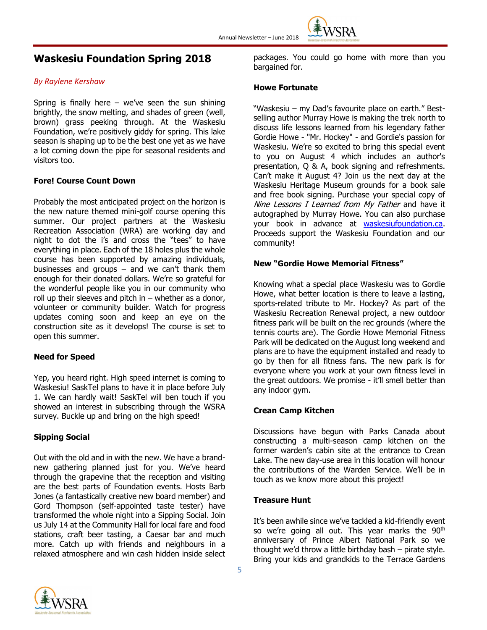

# **Waskesiu Foundation Spring 2018**

#### *By Raylene Kershaw*

Spring is finally here  $-$  we've seen the sun shining brightly, the snow melting, and shades of green (well, brown) grass peeking through. At the Waskesiu Foundation, we're positively giddy for spring. This lake season is shaping up to be the best one yet as we have a lot coming down the pipe for seasonal residents and visitors too.

#### **Fore! Course Count Down**

Probably the most anticipated project on the horizon is the new nature themed mini-golf course opening this summer. Our project partners at the Waskesiu Recreation Association (WRA) are working day and night to dot the i's and cross the "tees" to have everything in place. Each of the 18 holes plus the whole course has been supported by amazing individuals, businesses and groups  $-$  and we can't thank them enough for their donated dollars. We're so grateful for the wonderful people like you in our community who roll up their sleeves and pitch in  $-$  whether as a donor, volunteer or community builder. Watch for progress updates coming soon and keep an eye on the construction site as it develops! The course is set to open this summer.

#### **Need for Speed**

Yep, you heard right. High speed internet is coming to Waskesiu! SaskTel plans to have it in place before July 1. We can hardly wait! SaskTel will ben touch if you showed an interest in subscribing through the WSRA survey. Buckle up and bring on the high speed!

#### **Sipping Social**

Out with the old and in with the new. We have a brandnew gathering planned just for you. We've heard through the grapevine that the reception and visiting are the best parts of Foundation events. Hosts Barb Jones (a fantastically creative new board member) and Gord Thompson (self-appointed taste tester) have transformed the whole night into a Sipping Social. Join us July 14 at the Community Hall for local fare and food stations, craft beer tasting, a Caesar bar and much more. Catch up with friends and neighbours in a relaxed atmosphere and win cash hidden inside select



#### **Howe Fortunate**

"Waskesiu – my Dad's favourite place on earth." Bestselling author Murray Howe is making the trek north to discuss life lessons learned from his legendary father Gordie Howe - "Mr. Hockey" - and Gordie's passion for Waskesiu. We're so excited to bring this special event to you on August 4 which includes an author's presentation, Q & A, book signing and refreshments. Can't make it August 4? Join us the next day at the Waskesiu Heritage Museum grounds for a book sale and free book signing. Purchase your special copy of Nine Lessons I Learned from My Father and have it autographed by Murray Howe. You can also purchase your book in advance at [waskesiufoundation.ca.](http://www.waskesiufoundation.ca/) Proceeds support the Waskesiu Foundation and our community!

#### **New "Gordie Howe Memorial Fitness"**

Knowing what a special place Waskesiu was to Gordie Howe, what better location is there to leave a lasting, sports-related tribute to Mr. Hockey? As part of the Waskesiu Recreation Renewal project, a new outdoor fitness park will be built on the rec grounds (where the tennis courts are). The Gordie Howe Memorial Fitness Park will be dedicated on the August long weekend and plans are to have the equipment installed and ready to go by then for all fitness fans. The new park is for everyone where you work at your own fitness level in the great outdoors. We promise - it'll smell better than any indoor gym.

#### **Crean Camp Kitchen**

Discussions have begun with Parks Canada about constructing a multi-season camp kitchen on the former warden's cabin site at the entrance to Crean Lake. The new day-use area in this location will honour the contributions of the Warden Service. We'll be in touch as we know more about this project!

#### **Treasure Hunt**

It's been awhile since we've tackled a kid-friendly event so we're going all out. This year marks the 90<sup>th</sup> anniversary of Prince Albert National Park so we thought we'd throw a little birthday bash – pirate style. Bring your kids and grandkids to the Terrace Gardens

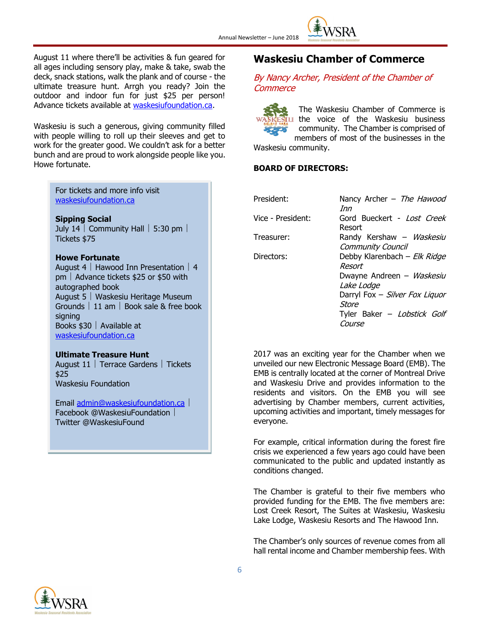

August 11 where there'll be activities & fun geared for all ages including sensory play, make & take, swab the deck, snack stations, walk the plank and of course - the ultimate treasure hunt. Arrgh you ready? Join the outdoor and indoor fun for just \$25 per person! Advance tickets available at [waskesiufoundation.ca.](http://www.waskesiufoundation.ca/)

Waskesiu is such a generous, giving community filled with people willing to roll up their sleeves and get to work for the greater good. We couldn't ask for a better bunch and are proud to work alongside people like you. Howe fortunate.

> For tickets and more info visit [waskesiufoundation.ca](http://www.waskesiufoundation.ca/)

#### **Sipping Social**

July 14  $\vert$  Community Hall  $\vert$  5:30 pm  $\vert$ Tickets \$75

#### **Howe Fortunate**

August 4 | Hawood Inn Presentation | 4  $pm \mid$  Advance tickets \$25 or \$50 with autographed book August 5 Waskesiu Heritage Museum Grounds  $\vert$  11 am  $\vert$  Book sale & free book signing Books  $$30$  | Available at [waskesiufoundation.ca](http://www.waskesiufoundation.ca/)

#### **Ultimate Treasure Hunt**

August 11 | Terrace Gardens | Tickets \$25 Waskesiu Foundation

Email [admin@waskesiufoundation.ca](mailto:admin@waskesiufoundation.ca) Facebook @WaskesiuFoundation Twitter @WaskesiuFound

### **Waskesiu Chamber of Commerce**

### By Nancy Archer, President of the Chamber of **Commerce**

The Waskesiu Chamber of Commerce is I the voice of the Waskesiu business community. The Chamber is comprised of members of most of the businesses in the

Waskesiu community.

#### **BOARD OF DIRECTORS:**

| President:        | Nancy Archer - The Hawood<br>Inn              |
|-------------------|-----------------------------------------------|
| Vice - President: | Gord Bueckert - Lost Creek<br>Resort          |
| Treasurer:        | Randy Kershaw - Waskesiu<br>Community Council |
| Directors:        | Debby Klarenbach - Elk Ridge<br>Resort        |
|                   | Dwayne Andreen - Waskesiu<br>Lake Lodge       |
|                   | Darryl Fox - Silver Fox Liquor<br>Store       |
|                   | Tyler Baker - Lobstick Golf<br>Course         |

2017 was an exciting year for the Chamber when we unveiled our new Electronic Message Board (EMB). The EMB is centrally located at the corner of Montreal Drive and Waskesiu Drive and provides information to the residents and visitors. On the EMB you will see advertising by Chamber members, current activities, upcoming activities and important, timely messages for everyone.

For example, critical information during the forest fire crisis we experienced a few years ago could have been communicated to the public and updated instantly as conditions changed.

The Chamber is grateful to their five members who provided funding for the EMB. The five members are: Lost Creek Resort, The Suites at Waskesiu, Waskesiu Lake Lodge, Waskesiu Resorts and The Hawood Inn.

The Chamber's only sources of revenue comes from all hall rental income and Chamber membership fees. With

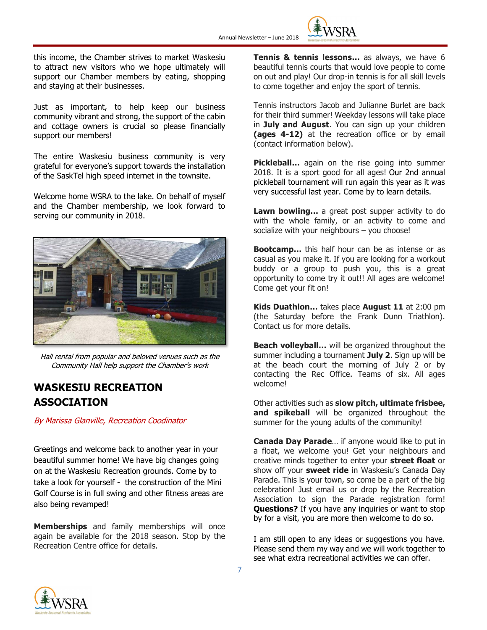

this income, the Chamber strives to market Waskesiu to attract new visitors who we hope ultimately will support our Chamber members by eating, shopping and staying at their businesses.

Just as important, to help keep our business community vibrant and strong, the support of the cabin and cottage owners is crucial so please financially support our members!

The entire Waskesiu business community is very grateful for everyone's support towards the installation of the SaskTel high speed internet in the townsite.

Welcome home WSRA to the lake. On behalf of myself and the Chamber membership, we look forward to serving our community in 2018.



Hall rental from popular and beloved venues such as the Community Hall help support the Chamber's work

# **WASKESIU RECREATION ASSOCIATION**

By Marissa Glanville, Recreation Coodinator

Greetings and welcome back to another year in your beautiful summer home! We have big changes going on at the Waskesiu Recreation grounds. Come by to take a look for yourself - the construction of the Mini Golf Course is in full swing and other fitness areas are also being revamped!

**Memberships** and family memberships will once again be available for the 2018 season. Stop by the Recreation Centre office for details.

**Tennis & tennis lessons…** as always, we have 6 beautiful tennis courts that would love people to come on out and play! Our drop-in **t**ennis is for all skill levels to come together and enjoy the sport of tennis.

Tennis instructors Jacob and Julianne Burlet are back for their third summer! Weekday lessons will take place in **July and August**. You can sign up your children **(ages 4-12)** at the recreation office or by email (contact information below).

**Pickleball…** again on the rise going into summer 2018. It is a sport good for all ages! Our 2nd annual pickleball tournament will run again this year as it was very successful last year. Come by to learn details.

**Lawn bowling…** a great post supper activity to do with the whole family, or an activity to come and socialize with your neighbours – you choose!

**Bootcamp…** this half hour can be as intense or as casual as you make it. If you are looking for a workout buddy or a group to push you, this is a great opportunity to come try it out!! All ages are welcome! Come get your fit on!

**Kids Duathlon…** takes place **August 11** at 2:00 pm (the Saturday before the Frank Dunn Triathlon). Contact us for more details.

**Beach volleyball…** will be organized throughout the summer including a tournament **July 2**. Sign up will be at the beach court the morning of July 2 or by contacting the Rec Office. Teams of six. All ages welcome!

Other activities such as **slow pitch, ultimate frisbee, and spikeball** will be organized throughout the summer for the young adults of the community!

**Canada Day Parade**… if anyone would like to put in a float, we welcome you! Get your neighbours and creative minds together to enter your **street float** or show off your **sweet ride** in Waskesiu's Canada Day Parade. This is your town, so come be a part of the big celebration! Just email us or drop by the Recreation Association to sign the Parade registration form! **Questions?** If you have any inquiries or want to stop by for a visit, you are more then welcome to do so.

I am still open to any ideas or suggestions you have. Please send them my way and we will work together to see what extra recreational activities we can offer.

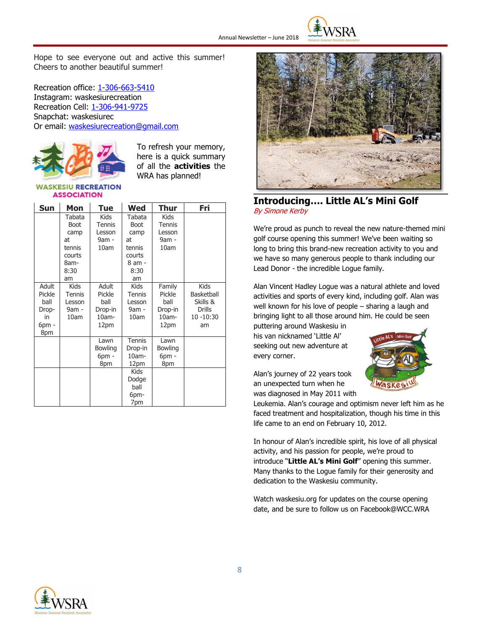

Hope to see everyone out and active this summer! Cheers to another beautiful summer!

Recreation office: [1-306-663-5410](tel:(306)%20663-5410) Instagram: waskesiurecreation Recreation Cell: [1-306-941-9725](tel:(306)%20941-7725) Snapchat: waskesiurec Or email: [waskesiurecreation@gmail.com](mailto:waskesiurecreation@gmail.com)



To refresh your memory, here is a quick summary of all the **activities** the WRA has planned!

#### **SKESIU RECREATION ASSOCIATION**

| Sun                                                       | Mon                                                                    | Tue                                                 | Wed                                                                      | Thur                                                    | Fri                                                                       |
|-----------------------------------------------------------|------------------------------------------------------------------------|-----------------------------------------------------|--------------------------------------------------------------------------|---------------------------------------------------------|---------------------------------------------------------------------------|
|                                                           | Tabata<br>Boot<br>camp<br>at<br>tennis<br>courts<br>8am-<br>8:30<br>am | Kids<br>Tennis<br>Lesson<br>9am -<br>10am           | Tabata<br>Boot<br>camp<br>at<br>tennis<br>courts<br>8 am -<br>8:30<br>am | <b>Kids</b><br><b>Tennis</b><br>Lesson<br>9am -<br>10am |                                                                           |
| Adult<br>Pickle<br>ball<br>Drop-<br>in<br>$6$ pm -<br>8pm | <b>Kids</b><br>Tennis<br>Lesson<br>9am -<br>10am                       | Adult<br>Pickle<br>ball<br>Drop-in<br>10am-<br>12pm | Kids<br>Tennis<br>Lesson<br>9am -<br>10am                                | Family<br>Pickle<br>ball<br>Drop-in<br>10am-<br>12pm    | <b>Kids</b><br>Basketball<br>Skills &<br><b>Drills</b><br>10 -10:30<br>am |
|                                                           |                                                                        | Lawn<br>Bowling<br>$6pm$ -<br>8pm                   | Tennis<br>Drop-in<br>10am-<br>12pm                                       | Lawn<br>Bowling<br>$6pm$ -<br>8pm                       |                                                                           |
|                                                           |                                                                        |                                                     | Kids<br>Dodge<br>ball<br>6pm-<br>7pm                                     |                                                         |                                                                           |



### **Introducing…. Little AL's Mini Golf** By Simone Kerby

We're proud as punch to reveal the new nature-themed mini golf course opening this summer! We've been waiting so long to bring this brand-new recreation activity to you and we have so many generous people to thank including our Lead Donor - the incredible Logue family.

Alan Vincent Hadley Logue was a natural athlete and loved activities and sports of every kind, including golf. Alan was well known for his love of people – sharing a laugh and bringing light to all those around him. He could be seen

puttering around Waskesiu in his van nicknamed 'Little Al' seeking out new adventure at every corner.

Alan's journey of 22 years took an unexpected turn when he was diagnosed in May 2011 with



Leukemia. Alan's courage and optimism never left him as he faced treatment and hospitalization, though his time in this life came to an end on February 10, 2012.

In honour of Alan's incredible spirit, his love of all physical activity, and his passion for people, we're proud to introduce "**Little AL's Mini Golf**" opening this summer. Many thanks to the Logue family for their generosity and dedication to the Waskesiu community.

Watch waskesiu.org for updates on the course opening date, and be sure to follow us on Facebook@WCC.WRA

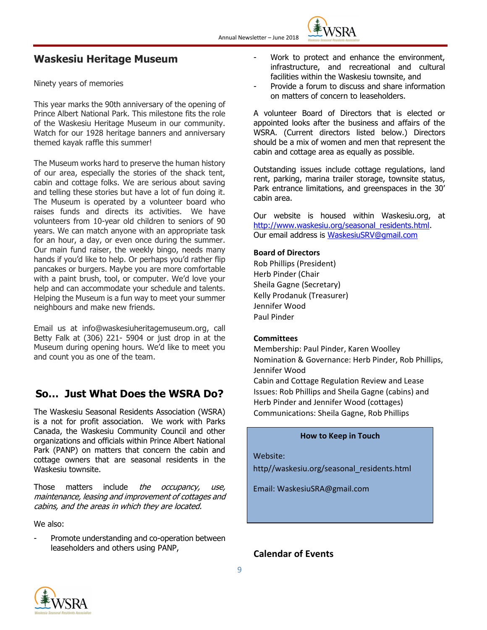

## **Waskesiu Heritage Museum**

Ninety years of memories

This year marks the 90th anniversary of the opening of Prince Albert National Park. This milestone fits the role of the Waskesiu Heritage Museum in our community. Watch for our 1928 heritage banners and anniversary themed kayak raffle this summer!

The Museum works hard to preserve the human history of our area, especially the stories of the shack tent, cabin and cottage folks. We are serious about saving and telling these stories but have a lot of fun doing it. The Museum is operated by a volunteer board who raises funds and directs its activities. We have volunteers from 10-year old children to seniors of 90 years. We can match anyone with an appropriate task for an hour, a day, or even once during the summer. Our main fund raiser, the weekly bingo, needs many hands if you'd like to help. Or perhaps you'd rather flip pancakes or burgers. Maybe you are more comfortable with a paint brush, tool, or computer. We'd love your help and can accommodate your schedule and talents. Helping the Museum is a fun way to meet your summer neighbours and make new friends.

Email us at [info@waskesiuheritagemuseum.org,](mailto:info@waskesiuheritagemuseum.org) call Betty Falk at (306) 221- 5904 or just drop in at the Museum during opening hours. We'd like to meet you and count you as one of the team.

# **So… Just What Does the WSRA Do?**

The Waskesiu Seasonal Residents Association (WSRA) is a not for profit association. We work with Parks Canada, the Waskesiu Community Council and other organizations and officials within Prince Albert National Park (PANP) on matters that concern the cabin and cottage owners that are seasonal residents in the Waskesiu townsite.

Those matters include *the occupancy, use,* maintenance, leasing and improvement of cottages and cabins, and the areas in which they are located.

We also:

Promote understanding and co-operation between leaseholders and others using PANP,

- Work to protect and enhance the environment, infrastructure, and recreational and cultural facilities within the Waskesiu townsite, and
- Provide a forum to discuss and share information on matters of concern to leaseholders.

A volunteer Board of Directors that is elected or appointed looks after the business and affairs of the WSRA. (Current directors listed below.) Directors should be a mix of women and men that represent the cabin and cottage area as equally as possible.

Outstanding issues include cottage regulations, land rent, parking, marina trailer storage, townsite status, Park entrance limitations, and greenspaces in the 30' cabin area.

Our website is housed within Waskesiu.org, at [http://www.waskesiu.org/seasonal\\_residents.html.](http://www.waskesiu.org/seasonal_residents.html) Our email address is [WaskesiuSRV@gmail.com](mailto:WaskesiuSRV@gmail.com)

#### **Board of Directors**

Rob Phillips (President) Herb Pinder (Chair Sheila Gagne (Secretary) Kelly Prodanuk (Treasurer) Jennifer Wood Paul Pinder

#### **Committees**

Membership: Paul Pinder, Karen Woolley Nomination & Governance: Herb Pinder, Rob Phillips, Jennifer Wood

Cabin and Cottage Regulation Review and Lease Issues: Rob Phillips and Sheila Gagne (cabins) and Herb Pinder and Jennifer Wood (cottages) Communications: Sheila Gagne, Rob Phillips

#### **How to Keep in Touch**

Website:

http//waskesiu.org/seasonal\_residents.html

Email: WaskesiuSRA@gmail.com

**Calendar of Events**

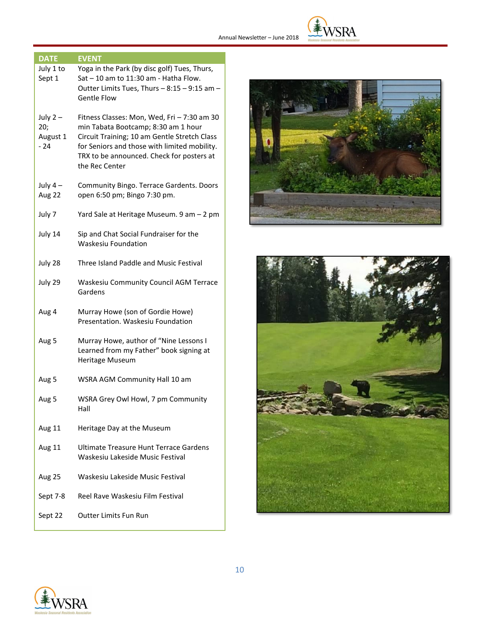

| <b>DATE</b>                           | <b>EVENT</b>                                                                                                                                                                                                                                      |
|---------------------------------------|---------------------------------------------------------------------------------------------------------------------------------------------------------------------------------------------------------------------------------------------------|
| July 1 to<br>Sept 1                   | Yoga in the Park (by disc golf) Tues, Thurs,<br>Sat - 10 am to 11:30 am - Hatha Flow.<br>Outter Limits Tues, Thurs - 8:15 - 9:15 am -<br><b>Gentle Flow</b>                                                                                       |
| July $2-$<br>20;<br>August 1<br>$-24$ | Fitness Classes: Mon, Wed, Fri - 7:30 am 30<br>min Tabata Bootcamp; 8:30 am 1 hour<br>Circuit Training; 10 am Gentle Stretch Class<br>for Seniors and those with limited mobility.<br>TRX to be announced. Check for posters at<br>the Rec Center |
| July $4-$<br>Aug 22                   | Community Bingo. Terrace Gardents. Doors<br>open 6:50 pm; Bingo 7:30 pm.                                                                                                                                                                          |
| July 7                                | Yard Sale at Heritage Museum. 9 am - 2 pm                                                                                                                                                                                                         |
| July 14                               | Sip and Chat Social Fundraiser for the<br><b>Waskesiu Foundation</b>                                                                                                                                                                              |
| July 28                               | Three Island Paddle and Music Festival                                                                                                                                                                                                            |
| July 29                               | <b>Waskesiu Community Council AGM Terrace</b><br>Gardens                                                                                                                                                                                          |
| Aug 4                                 | Murray Howe (son of Gordie Howe)<br>Presentation. Waskesiu Foundation                                                                                                                                                                             |
| Aug 5                                 | Murray Howe, author of "Nine Lessons I<br>Learned from my Father" book signing at<br>Heritage Museum                                                                                                                                              |
| Aug 5                                 | WSRA AGM Community Hall 10 am                                                                                                                                                                                                                     |
| Aug 5                                 | WSRA Grey Owl Howl, 7 pm Community<br>Hall                                                                                                                                                                                                        |
| Aug 11                                | Heritage Day at the Museum                                                                                                                                                                                                                        |
| Aug 11                                | Ultimate Treasure Hunt Terrace Gardens<br>Waskesiu Lakeside Music Festival                                                                                                                                                                        |
| Aug 25                                | Waskesiu Lakeside Music Festival                                                                                                                                                                                                                  |
| Sept 7-8                              | Reel Rave Waskesiu Film Festival                                                                                                                                                                                                                  |
| Sept 22                               | <b>Outter Limits Fun Run</b>                                                                                                                                                                                                                      |